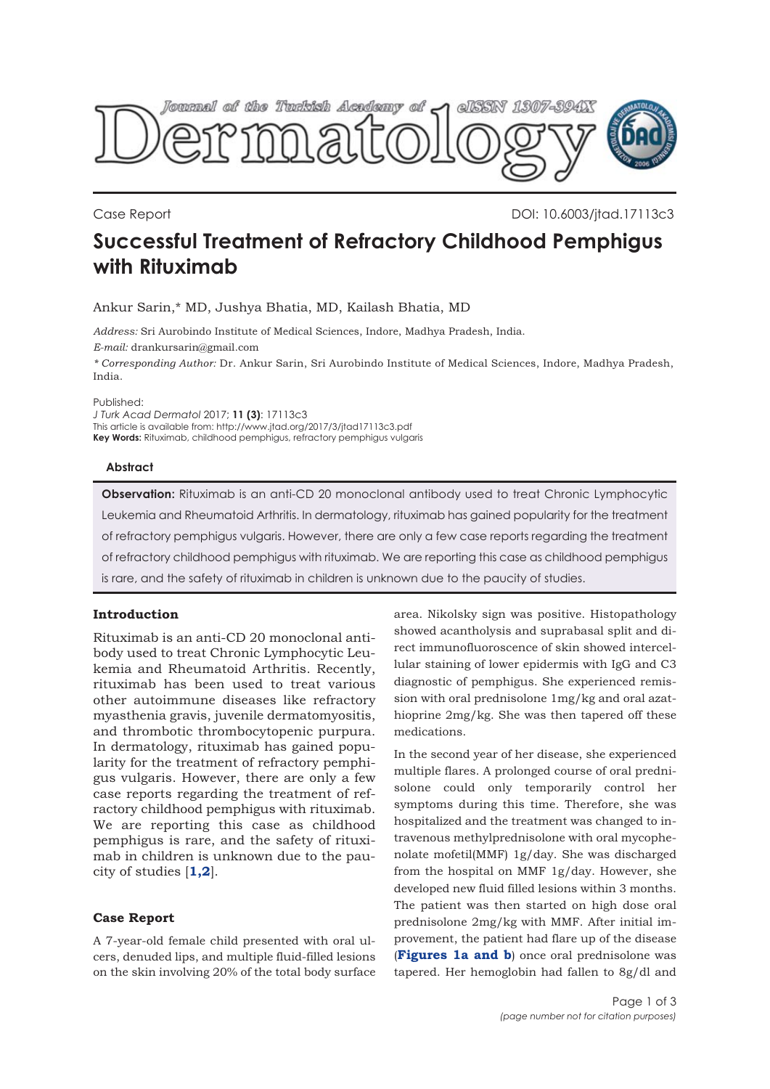

Case Report DOI: 10.6003/jtad.17113c3

# **Successful Treatment of Refractory Childhood Pemphigus with Rituximab**

Ankur Sarin,\* MD, Jushya Bhatia, MD, Kailash Bhatia, MD

*Address:* Sri Aurobindo Institute of Medical Sciences, Indore, Madhya Pradesh, India. *E-mail:* drankursarin@gmail.com

*\* Corresponding Author:* Dr. Ankur Sarin, Sri Aurobindo Institute of Medical Sciences, Indore, Madhya Pradesh, India.

Published:

*J Turk Acad Dermatol* 2017; **11 (3)**: 17113c3 This article is available from: http://www.jtad.org/2017/3/jtad17113c3.pdf

**Key Words:** Rituximab, childhood pemphigus, refractory pemphigus vulgaris

#### **Abstract**

**Observation:** Rituximab is an anti-CD 20 monoclonal antibody used to treat Chronic Lymphocytic Leukemia and Rheumatoid Arthritis. In dermatology, rituximab has gained popularity for the treatment of refractory pemphigus vulgaris. However, there are only a few case reports regarding the treatment of refractory childhood pemphigus with rituximab. We are reporting this case as childhood pemphigus is rare, and the safety of rituximab in children is unknown due to the paucity of studies.

# **Introduction**

Rituximab is an anti-CD 20 monoclonal antibody used to treat Chronic Lymphocytic Leukemia and Rheumatoid Arthritis. Recently, rituximab has been used to treat various other autoimmune diseases like refractory myasthenia gravis, juvenile dermatomyositis, and thrombotic thrombocytopenic purpura. In dermatology, rituximab has gained popularity for the treatment of refractory pemphigus vulgaris. However, there are only a few case reports regarding the treatment of refractory childhood pemphigus with rituximab. We are reporting this case as childhood pemphigus is rare, and the safety of rituximab in children is unknown due to the paucity of studies [**[1,2](#page-2-0)**].

### **Case Report**

A 7-year-old female child presented with oral ulcers, denuded lips, and multiple fluid-filled lesions on the skin involving 20% of the total body surface area. Nikolsky sign was positive. Histopathology showed acantholysis and suprabasal split and direct immunofluoroscence of skin showed intercellular staining of lower epidermis with IgG and C3 diagnostic of pemphigus. She experienced remission with oral prednisolone 1mg/kg and oral azathioprine 2mg/kg. She was then tapered off these medications.

In the second year of her disease, she experienced multiple flares. A prolonged course of oral prednisolone could only temporarily control her symptoms during this time. Therefore, she was hospitalized and the treatment was changed to intravenous methylprednisolone with oral mycophenolate mofetil(MMF) 1g/day. She was discharged from the hospital on MMF 1g/day. However, she developed new fluid filled lesions within 3 months. The patient was then started on high dose oral prednisolone 2mg/kg with MMF. After initial improvement, the patient had flare up of the disease (**[Figures 1a and b](#page-1-0)**) once oral prednisolone was tapered. Her hemoglobin had fallen to 8g/dl and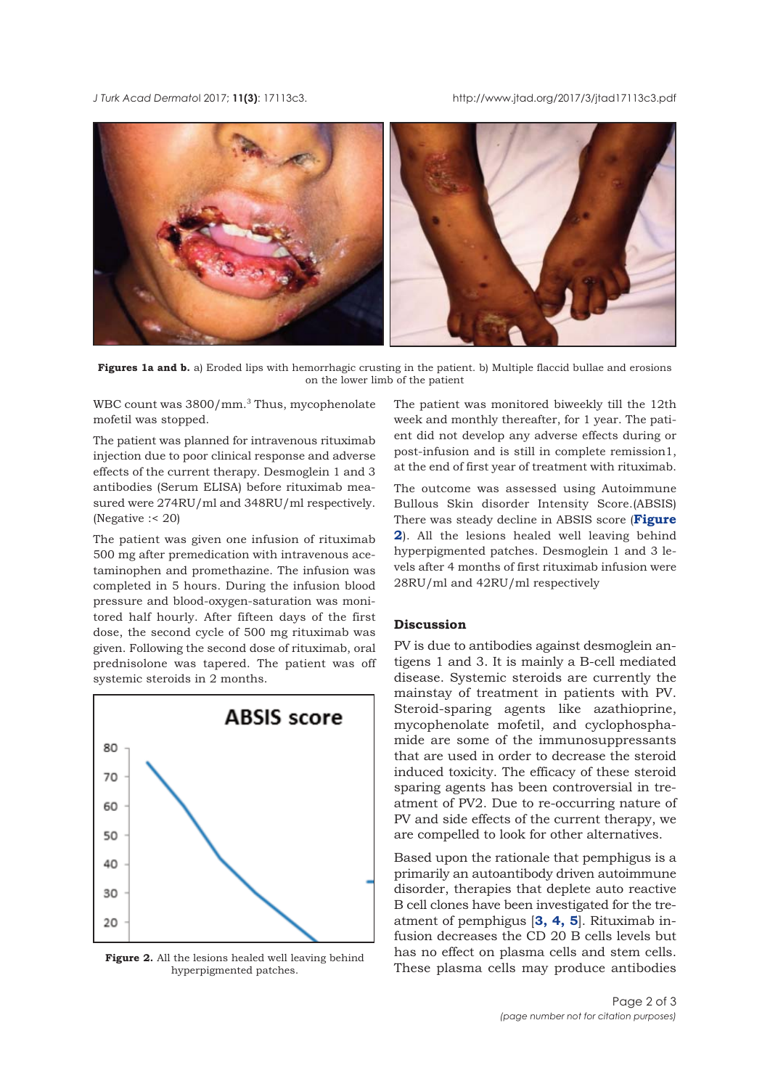<span id="page-1-0"></span>*J Turk Acad Dermato*l 2017; **11(3)**: 17113c3. http://www.jtad.org/2017/3/jtad17113c3.pdf



**Figures 1a and b.** a) Eroded lips with hemorrhagic crusting in the patient. b) Multiple flaccid bullae and erosions on the lower limb of the patient

WBC count was 3800/mm.<sup>3</sup> Thus, mycophenolate mofetil was stopped.

The patient was planned for intravenous rituximab injection due to poor clinical response and adverse effects of the current therapy. Desmoglein 1 and 3 antibodies (Serum ELISA) before rituximab measured were 274RU/ml and 348RU/ml respectively. (Negative :< 20)

The patient was given one infusion of rituximab 500 mg after premedication with intravenous acetaminophen and promethazine. The infusion was completed in 5 hours. During the infusion blood pressure and blood-oxygen-saturation was monitored half hourly. After fifteen days of the first dose, the second cycle of 500 mg rituximab was given. Following the second dose of rituximab, oral prednisolone was tapered. The patient was off systemic steroids in 2 months.



**Figure 2.** All the lesions healed well leaving behind hyperpigmented patches.

The patient was monitored biweekly till the 12th week and monthly thereafter, for 1 year. The patient did not develop any adverse effects during or post-infusion and is still in complete remission1, at the end of first year of treatment with rituximab.

The outcome was assessed using Autoimmune Bullous Skin disorder Intensity Score.(ABSIS) There was steady decline in ABSIS score (**Figure 2**). All the lesions healed well leaving behind hyperpigmented patches. Desmoglein 1 and 3 levels after 4 months of first rituximab infusion were 28RU/ml and 42RU/ml respectively

# **Discussion**

PV is due to antibodies against desmoglein antigens 1 and 3. It is mainly a B-cell mediated disease. Systemic steroids are currently the mainstay of treatment in patients with PV. Steroid-sparing agents like azathioprine, mycophenolate mofetil, and cyclophosphamide are some of the immunosuppressants that are used in order to decrease the steroid induced toxicity. The efficacy of these steroid sparing agents has been controversial in treatment of PV2. Due to re-occurring nature of PV and side effects of the current therapy, we are compelled to look for other alternatives.

Based upon the rationale that pemphigus is a primarily an autoantibody driven autoimmune disorder, therapies that deplete auto reactive B cell clones have been investigated for the treatment of pemphigus [**[3](#page-2-0), [4,](#page-2-0) [5](#page-2-0)**]. Rituximab infusion decreases the CD 20 B cells levels but has no effect on plasma cells and stem cells. These plasma cells may produce antibodies